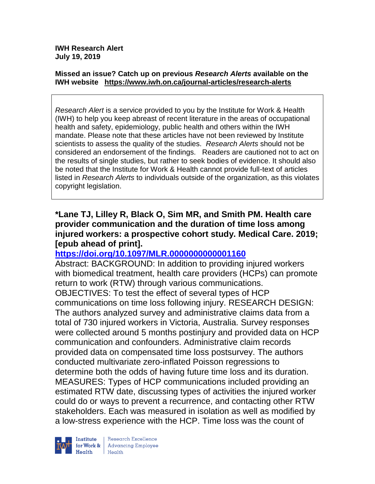**IWH Research Alert July 19, 2019**

#### **Missed an issue? Catch up on previous** *Research Alerts* **available on the [IWH website](http://www.iwh.on.ca/research-alerts) <https://www.iwh.on.ca/journal-articles/research-alerts>**

*Research Alert* is a service provided to you by the Institute for Work & Health (IWH) to help you keep abreast of recent literature in the areas of occupational health and safety, epidemiology, public health and others within the IWH mandate. Please note that these articles have not been reviewed by Institute scientists to assess the quality of the studies. *Research Alerts* should not be considered an endorsement of the findings. Readers are cautioned not to act on the results of single studies, but rather to seek bodies of evidence. It should also be noted that the Institute for Work & Health cannot provide full-text of articles listed in *Research Alerts* to individuals outside of the organization, as this violates copyright legislation.

#### **\*Lane TJ, Lilley R, Black O, Sim MR, and Smith PM. Health care provider communication and the duration of time loss among injured workers: a prospective cohort study. Medical Care. 2019; [epub ahead of print].**

### **<https://doi.org/10.1097/MLR.0000000000001160>**

Abstract: BACKGROUND: In addition to providing injured workers with biomedical treatment, health care providers (HCPs) can promote return to work (RTW) through various communications. OBJECTIVES: To test the effect of several types of HCP communications on time loss following injury. RESEARCH DESIGN: The authors analyzed survey and administrative claims data from a total of 730 injured workers in Victoria, Australia. Survey responses were collected around 5 months postinjury and provided data on HCP communication and confounders. Administrative claim records provided data on compensated time loss postsurvey. The authors conducted multivariate zero-inflated Poisson regressions to determine both the odds of having future time loss and its duration. MEASURES: Types of HCP communications included providing an estimated RTW date, discussing types of activities the injured worker could do or ways to prevent a recurrence, and contacting other RTW stakeholders. Each was measured in isolation as well as modified by a low-stress experience with the HCP. Time loss was the count of



Research Excellence for Work & | Advancing Employee Health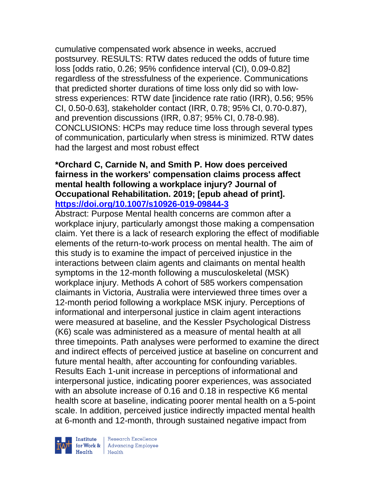cumulative compensated work absence in weeks, accrued postsurvey. RESULTS: RTW dates reduced the odds of future time loss [odds ratio, 0.26; 95% confidence interval (CI), 0.09-0.82] regardless of the stressfulness of the experience. Communications that predicted shorter durations of time loss only did so with lowstress experiences: RTW date [incidence rate ratio (IRR), 0.56; 95% CI, 0.50-0.63], stakeholder contact (IRR, 0.78; 95% CI, 0.70-0.87), and prevention discussions (IRR, 0.87; 95% CI, 0.78-0.98). CONCLUSIONS: HCPs may reduce time loss through several types of communication, particularly when stress is minimized. RTW dates had the largest and most robust effect

#### **\*Orchard C, Carnide N, and Smith P. How does perceived fairness in the workers' compensation claims process affect mental health following a workplace injury? Journal of Occupational Rehabilitation. 2019; [epub ahead of print]. <https://doi.org/10.1007/s10926-019-09844-3>**

Abstract: Purpose Mental health concerns are common after a workplace injury, particularly amongst those making a compensation claim. Yet there is a lack of research exploring the effect of modifiable elements of the return-to-work process on mental health. The aim of this study is to examine the impact of perceived injustice in the interactions between claim agents and claimants on mental health symptoms in the 12-month following a musculoskeletal (MSK) workplace injury. Methods A cohort of 585 workers compensation claimants in Victoria, Australia were interviewed three times over a 12-month period following a workplace MSK injury. Perceptions of informational and interpersonal justice in claim agent interactions were measured at baseline, and the Kessler Psychological Distress (K6) scale was administered as a measure of mental health at all three timepoints. Path analyses were performed to examine the direct and indirect effects of perceived justice at baseline on concurrent and future mental health, after accounting for confounding variables. Results Each 1-unit increase in perceptions of informational and interpersonal justice, indicating poorer experiences, was associated with an absolute increase of 0.16 and 0.18 in respective K6 mental health score at baseline, indicating poorer mental health on a 5-point scale. In addition, perceived justice indirectly impacted mental health at 6-month and 12-month, through sustained negative impact from

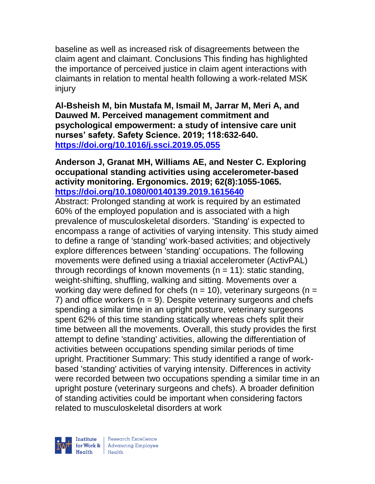baseline as well as increased risk of disagreements between the claim agent and claimant. Conclusions This finding has highlighted the importance of perceived justice in claim agent interactions with claimants in relation to mental health following a work-related MSK injury

**Al-Bsheish M, bin Mustafa M, Ismail M, Jarrar M, Meri A, and Dauwed M. Perceived management commitment and psychological empowerment: a study of intensive care unit nurses' safety. Safety Science. 2019; 118:632-640. <https://doi.org/10.1016/j.ssci.2019.05.055>** 

#### **Anderson J, Granat MH, Williams AE, and Nester C. Exploring occupational standing activities using accelerometer-based activity monitoring. Ergonomics. 2019; 62(8):1055-1065. <https://doi.org/10.1080/00140139.2019.1615640>**

Abstract: Prolonged standing at work is required by an estimated 60% of the employed population and is associated with a high prevalence of musculoskeletal disorders. 'Standing' is expected to encompass a range of activities of varying intensity. This study aimed to define a range of 'standing' work-based activities; and objectively explore differences between 'standing' occupations. The following movements were defined using a triaxial accelerometer (ActivPAL) through recordings of known movements  $(n = 11)$ : static standing, weight-shifting, shuffling, walking and sitting. Movements over a working day were defined for chefs ( $n = 10$ ), veterinary surgeons ( $n =$ 7) and office workers  $(n = 9)$ . Despite veterinary surgeons and chefs spending a similar time in an upright posture, veterinary surgeons spent 62% of this time standing statically whereas chefs split their time between all the movements. Overall, this study provides the first attempt to define 'standing' activities, allowing the differentiation of activities between occupations spending similar periods of time upright. Practitioner Summary: This study identified a range of workbased 'standing' activities of varying intensity. Differences in activity were recorded between two occupations spending a similar time in an upright posture (veterinary surgeons and chefs). A broader definition of standing activities could be important when considering factors related to musculoskeletal disorders at work

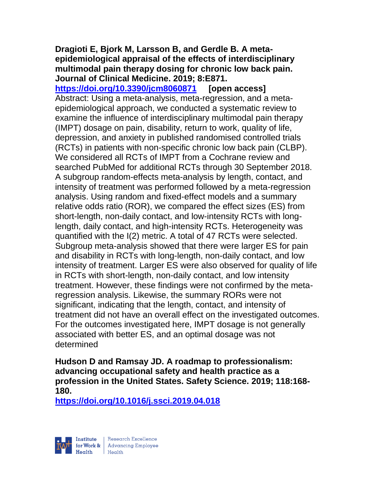#### **Dragioti E, Bjork M, Larsson B, and Gerdle B. A metaepidemiological appraisal of the effects of interdisciplinary multimodal pain therapy dosing for chronic low back pain. Journal of Clinical Medicine. 2019; 8:E871.**

**<https://doi.org/10.3390/jcm8060871> [open access]** Abstract: Using a meta-analysis, meta-regression, and a metaepidemiological approach, we conducted a systematic review to examine the influence of interdisciplinary multimodal pain therapy (IMPT) dosage on pain, disability, return to work, quality of life, depression, and anxiety in published randomised controlled trials (RCTs) in patients with non-specific chronic low back pain (CLBP). We considered all RCTs of IMPT from a Cochrane review and searched PubMed for additional RCTs through 30 September 2018. A subgroup random-effects meta-analysis by length, contact, and intensity of treatment was performed followed by a meta-regression analysis. Using random and fixed-effect models and a summary relative odds ratio (ROR), we compared the effect sizes (ES) from short-length, non-daily contact, and low-intensity RCTs with longlength, daily contact, and high-intensity RCTs. Heterogeneity was quantified with the I(2) metric. A total of 47 RCTs were selected. Subgroup meta-analysis showed that there were larger ES for pain and disability in RCTs with long-length, non-daily contact, and low intensity of treatment. Larger ES were also observed for quality of life in RCTs with short-length, non-daily contact, and low intensity treatment. However, these findings were not confirmed by the metaregression analysis. Likewise, the summary RORs were not significant, indicating that the length, contact, and intensity of treatment did not have an overall effect on the investigated outcomes. For the outcomes investigated here, IMPT dosage is not generally associated with better ES, and an optimal dosage was not determined

**Hudson D and Ramsay JD. A roadmap to professionalism: advancing occupational safety and health practice as a profession in the United States. Safety Science. 2019; 118:168- 180.** 

**<https://doi.org/10.1016/j.ssci.2019.04.018>** 

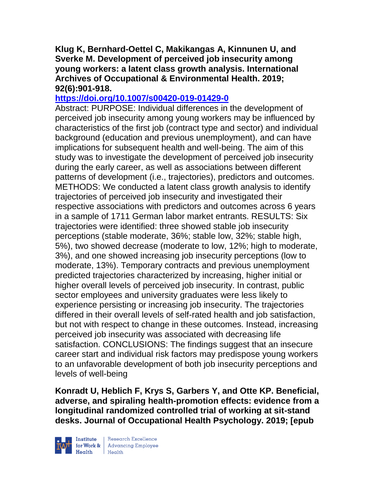**Klug K, Bernhard-Oettel C, Makikangas A, Kinnunen U, and Sverke M. Development of perceived job insecurity among young workers: a latent class growth analysis. International Archives of Occupational & Environmental Health. 2019; 92(6):901-918.** 

#### **<https://doi.org/10.1007/s00420-019-01429-0>**

Abstract: PURPOSE: Individual differences in the development of perceived job insecurity among young workers may be influenced by characteristics of the first job (contract type and sector) and individual background (education and previous unemployment), and can have implications for subsequent health and well-being. The aim of this study was to investigate the development of perceived job insecurity during the early career, as well as associations between different patterns of development (i.e., trajectories), predictors and outcomes. METHODS: We conducted a latent class growth analysis to identify trajectories of perceived job insecurity and investigated their respective associations with predictors and outcomes across 6 years in a sample of 1711 German labor market entrants. RESULTS: Six trajectories were identified: three showed stable job insecurity perceptions (stable moderate, 36%; stable low, 32%; stable high, 5%), two showed decrease (moderate to low, 12%; high to moderate, 3%), and one showed increasing job insecurity perceptions (low to moderate, 13%). Temporary contracts and previous unemployment predicted trajectories characterized by increasing, higher initial or higher overall levels of perceived job insecurity. In contrast, public sector employees and university graduates were less likely to experience persisting or increasing job insecurity. The trajectories differed in their overall levels of self-rated health and job satisfaction, but not with respect to change in these outcomes. Instead, increasing perceived job insecurity was associated with decreasing life satisfaction. CONCLUSIONS: The findings suggest that an insecure career start and individual risk factors may predispose young workers to an unfavorable development of both job insecurity perceptions and levels of well-being

**Konradt U, Heblich F, Krys S, Garbers Y, and Otte KP. Beneficial, adverse, and spiraling health-promotion effects: evidence from a longitudinal randomized controlled trial of working at sit-stand desks. Journal of Occupational Health Psychology. 2019; [epub** 



 $\begin{tabular}{|l|} Institute & Research Excellence \\ \hline for Work & Advancing Employee \\ Health & Health \\ \end{tabular}$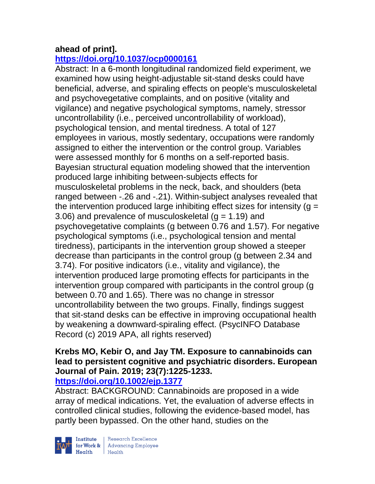### **ahead of print].**

# **<https://doi.org/10.1037/ocp0000161>**

Abstract: In a 6-month longitudinal randomized field experiment, we examined how using height-adjustable sit-stand desks could have beneficial, adverse, and spiraling effects on people's musculoskeletal and psychovegetative complaints, and on positive (vitality and vigilance) and negative psychological symptoms, namely, stressor uncontrollability (i.e., perceived uncontrollability of workload), psychological tension, and mental tiredness. A total of 127 employees in various, mostly sedentary, occupations were randomly assigned to either the intervention or the control group. Variables were assessed monthly for 6 months on a self-reported basis. Bayesian structural equation modeling showed that the intervention produced large inhibiting between-subjects effects for musculoskeletal problems in the neck, back, and shoulders (beta ranged between -.26 and -.21). Within-subject analyses revealed that the intervention produced large inhibiting effect sizes for intensity ( $q =$ 3.06) and prevalence of musculoskeletal  $(g = 1.19)$  and psychovegetative complaints (g between 0.76 and 1.57). For negative psychological symptoms (i.e., psychological tension and mental tiredness), participants in the intervention group showed a steeper decrease than participants in the control group (g between 2.34 and 3.74). For positive indicators (i.e., vitality and vigilance), the intervention produced large promoting effects for participants in the intervention group compared with participants in the control group (g between 0.70 and 1.65). There was no change in stressor uncontrollability between the two groups. Finally, findings suggest that sit-stand desks can be effective in improving occupational health by weakening a downward-spiraling effect. (PsycINFO Database Record (c) 2019 APA, all rights reserved)

### **Krebs MO, Kebir O, and Jay TM. Exposure to cannabinoids can lead to persistent cognitive and psychiatric disorders. European Journal of Pain. 2019; 23(7):1225-1233.**

### **<https://doi.org/10.1002/ejp.1377>**

Abstract: BACKGROUND: Cannabinoids are proposed in a wide array of medical indications. Yet, the evaluation of adverse effects in controlled clinical studies, following the evidence-based model, has partly been bypassed. On the other hand, studies on the

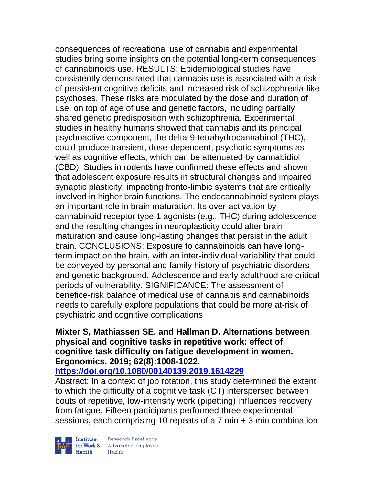consequences of recreational use of cannabis and experimental studies bring some insights on the potential long-term consequences of cannabinoids use. RESULTS: Epidemiological studies have consistently demonstrated that cannabis use is associated with a risk of persistent cognitive deficits and increased risk of schizophrenia-like psychoses. These risks are modulated by the dose and duration of use, on top of age of use and genetic factors, including partially shared genetic predisposition with schizophrenia. Experimental studies in healthy humans showed that cannabis and its principal psychoactive component, the delta-9-tetrahydrocannabinol (THC), could produce transient, dose-dependent, psychotic symptoms as well as cognitive effects, which can be attenuated by cannabidiol (CBD). Studies in rodents have confirmed these effects and shown that adolescent exposure results in structural changes and impaired synaptic plasticity, impacting fronto-limbic systems that are critically involved in higher brain functions. The endocannabinoid system plays an important role in brain maturation. Its over-activation by cannabinoid receptor type 1 agonists (e.g., THC) during adolescence and the resulting changes in neuroplasticity could alter brain maturation and cause long-lasting changes that persist in the adult brain. CONCLUSIONS: Exposure to cannabinoids can have longterm impact on the brain, with an inter-individual variability that could be conveyed by personal and family history of psychiatric disorders and genetic background. Adolescence and early adulthood are critical periods of vulnerability. SIGNIFICANCE: The assessment of benefice-risk balance of medical use of cannabis and cannabinoids needs to carefully explore populations that could be more at-risk of psychiatric and cognitive complications

### **Mixter S, Mathiassen SE, and Hallman D. Alternations between physical and cognitive tasks in repetitive work: effect of cognitive task difficulty on fatigue development in women. Ergonomics. 2019; 62(8):1008-1022.**

**<https://doi.org/10.1080/00140139.2019.1614229>**  Abstract: In a context of job rotation, this study determined the extent

to which the difficulty of a cognitive task (CT) interspersed between bouts of repetitive, low-intensity work (pipetting) influences recovery from fatigue. Fifteen participants performed three experimental sessions, each comprising 10 repeats of a  $7$  min  $+$  3 min combination

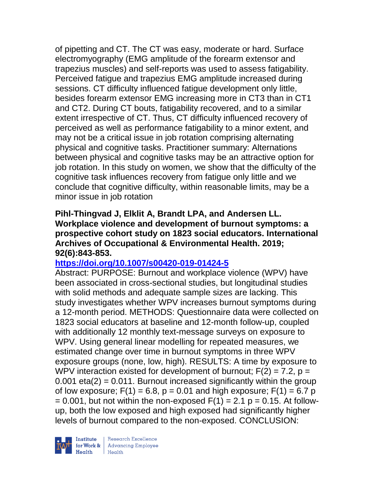of pipetting and CT. The CT was easy, moderate or hard. Surface electromyography (EMG amplitude of the forearm extensor and trapezius muscles) and self-reports was used to assess fatigability. Perceived fatigue and trapezius EMG amplitude increased during sessions. CT difficulty influenced fatigue development only little, besides forearm extensor EMG increasing more in CT3 than in CT1 and CT2. During CT bouts, fatigability recovered, and to a similar extent irrespective of CT. Thus, CT difficulty influenced recovery of perceived as well as performance fatigability to a minor extent, and may not be a critical issue in job rotation comprising alternating physical and cognitive tasks. Practitioner summary: Alternations between physical and cognitive tasks may be an attractive option for job rotation. In this study on women, we show that the difficulty of the cognitive task influences recovery from fatigue only little and we conclude that cognitive difficulty, within reasonable limits, may be a minor issue in job rotation

#### **Pihl-Thingvad J, Elklit A, Brandt LPA, and Andersen LL. Workplace violence and development of burnout symptoms: a prospective cohort study on 1823 social educators. International Archives of Occupational & Environmental Health. 2019; 92(6):843-853.**

### **<https://doi.org/10.1007/s00420-019-01424-5>**

Abstract: PURPOSE: Burnout and workplace violence (WPV) have been associated in cross-sectional studies, but longitudinal studies with solid methods and adequate sample sizes are lacking. This study investigates whether WPV increases burnout symptoms during a 12-month period. METHODS: Questionnaire data were collected on 1823 social educators at baseline and 12-month follow-up, coupled with additionally 12 monthly text-message surveys on exposure to WPV. Using general linear modelling for repeated measures, we estimated change over time in burnout symptoms in three WPV exposure groups (none, low, high). RESULTS: A time by exposure to WPV interaction existed for development of burnout;  $F(2) = 7.2$ ,  $p =$  $0.001$  eta $(2)$  = 0.011. Burnout increased significantly within the group of low exposure;  $F(1) = 6.8$ ,  $p = 0.01$  and high exposure;  $F(1) = 6.7$  p  $= 0.001$ , but not within the non-exposed  $F(1) = 2.1$  p = 0.15. At followup, both the low exposed and high exposed had significantly higher levels of burnout compared to the non-exposed. CONCLUSION:

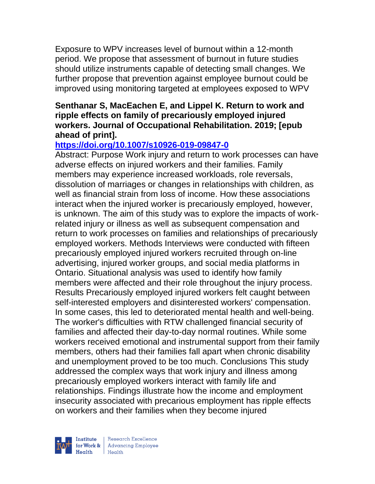Exposure to WPV increases level of burnout within a 12-month period. We propose that assessment of burnout in future studies should utilize instruments capable of detecting small changes. We further propose that prevention against employee burnout could be improved using monitoring targeted at employees exposed to WPV

#### **Senthanar S, MacEachen E, and Lippel K. Return to work and ripple effects on family of precariously employed injured workers. Journal of Occupational Rehabilitation. 2019; [epub ahead of print].**

### **<https://doi.org/10.1007/s10926-019-09847-0>**

Abstract: Purpose Work injury and return to work processes can have adverse effects on injured workers and their families. Family members may experience increased workloads, role reversals, dissolution of marriages or changes in relationships with children, as well as financial strain from loss of income. How these associations interact when the injured worker is precariously employed, however, is unknown. The aim of this study was to explore the impacts of workrelated injury or illness as well as subsequent compensation and return to work processes on families and relationships of precariously employed workers. Methods Interviews were conducted with fifteen precariously employed injured workers recruited through on-line advertising, injured worker groups, and social media platforms in Ontario. Situational analysis was used to identify how family members were affected and their role throughout the injury process. Results Precariously employed injured workers felt caught between self-interested employers and disinterested workers' compensation. In some cases, this led to deteriorated mental health and well-being. The worker's difficulties with RTW challenged financial security of families and affected their day-to-day normal routines. While some workers received emotional and instrumental support from their family members, others had their families fall apart when chronic disability and unemployment proved to be too much. Conclusions This study addressed the complex ways that work injury and illness among precariously employed workers interact with family life and relationships. Findings illustrate how the income and employment insecurity associated with precarious employment has ripple effects on workers and their families when they become injured

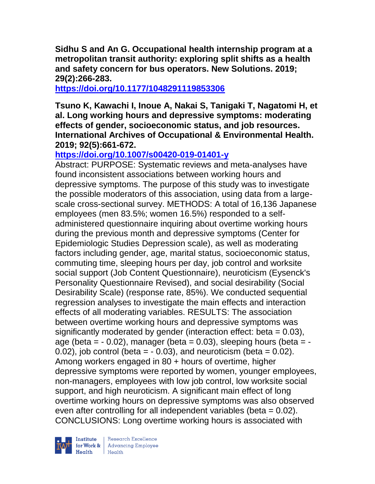**Sidhu S and An G. Occupational health internship program at a metropolitan transit authority: exploring split shifts as a health and safety concern for bus operators. New Solutions. 2019; 29(2):266-283.** 

**<https://doi.org/10.1177/1048291119853306>** 

**Tsuno K, Kawachi I, Inoue A, Nakai S, Tanigaki T, Nagatomi H, et al. Long working hours and depressive symptoms: moderating effects of gender, socioeconomic status, and job resources. International Archives of Occupational & Environmental Health. 2019; 92(5):661-672.** 

# **<https://doi.org/10.1007/s00420-019-01401-y>**

Abstract: PURPOSE: Systematic reviews and meta-analyses have found inconsistent associations between working hours and depressive symptoms. The purpose of this study was to investigate the possible moderators of this association, using data from a largescale cross-sectional survey. METHODS: A total of 16,136 Japanese employees (men 83.5%; women 16.5%) responded to a selfadministered questionnaire inquiring about overtime working hours during the previous month and depressive symptoms (Center for Epidemiologic Studies Depression scale), as well as moderating factors including gender, age, marital status, socioeconomic status, commuting time, sleeping hours per day, job control and worksite social support (Job Content Questionnaire), neuroticism (Eysenck's Personality Questionnaire Revised), and social desirability (Social Desirability Scale) (response rate, 85%). We conducted sequential regression analyses to investigate the main effects and interaction effects of all moderating variables. RESULTS: The association between overtime working hours and depressive symptoms was significantly moderated by gender (interaction effect: beta = 0.03), age (beta =  $-$  0.02), manager (beta = 0.03), sleeping hours (beta =  $(0.02)$ , job control (beta =  $-0.03$ ), and neuroticism (beta = 0.02). Among workers engaged in 80 + hours of overtime, higher depressive symptoms were reported by women, younger employees, non-managers, employees with low job control, low worksite social support, and high neuroticism. A significant main effect of long overtime working hours on depressive symptoms was also observed even after controlling for all independent variables (beta = 0.02). CONCLUSIONS: Long overtime working hours is associated with

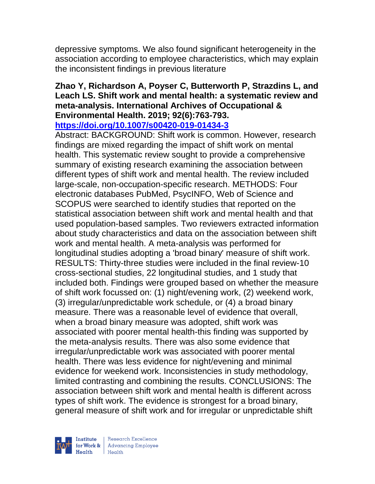depressive symptoms. We also found significant heterogeneity in the association according to employee characteristics, which may explain the inconsistent findings in previous literature

#### **Zhao Y, Richardson A, Poyser C, Butterworth P, Strazdins L, and Leach LS. Shift work and mental health: a systematic review and meta-analysis. International Archives of Occupational & Environmental Health. 2019; 92(6):763-793. <https://doi.org/10.1007/s00420-019-01434-3>**

Abstract: BACKGROUND: Shift work is common. However, research findings are mixed regarding the impact of shift work on mental health. This systematic review sought to provide a comprehensive summary of existing research examining the association between different types of shift work and mental health. The review included large-scale, non-occupation-specific research. METHODS: Four electronic databases PubMed, PsycINFO, Web of Science and SCOPUS were searched to identify studies that reported on the statistical association between shift work and mental health and that used population-based samples. Two reviewers extracted information about study characteristics and data on the association between shift work and mental health. A meta-analysis was performed for longitudinal studies adopting a 'broad binary' measure of shift work. RESULTS: Thirty-three studies were included in the final review-10 cross-sectional studies, 22 longitudinal studies, and 1 study that included both. Findings were grouped based on whether the measure of shift work focussed on: (1) night/evening work, (2) weekend work, (3) irregular/unpredictable work schedule, or (4) a broad binary measure. There was a reasonable level of evidence that overall, when a broad binary measure was adopted, shift work was associated with poorer mental health-this finding was supported by the meta-analysis results. There was also some evidence that irregular/unpredictable work was associated with poorer mental health. There was less evidence for night/evening and minimal evidence for weekend work. Inconsistencies in study methodology, limited contrasting and combining the results. CONCLUSIONS: The association between shift work and mental health is different across types of shift work. The evidence is strongest for a broad binary, general measure of shift work and for irregular or unpredictable shift